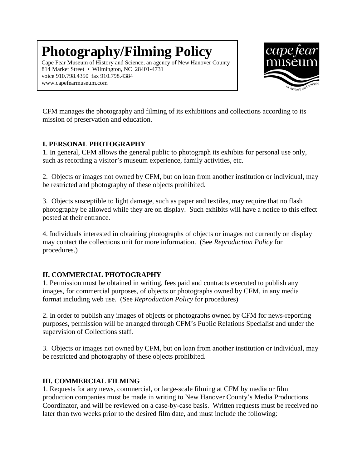## **Photography/Filming Policy**

Cape Fear Museum of History and Science, an agency of New Hanover County 814 Market Street • Wilmington, NC 28401-4731 voice 910.798.4350 fax 910.798.4384 www.capefearmuseum.com



CFM manages the photography and filming of its exhibitions and collections according to its mission of preservation and education.

## **I. PERSONAL PHOTOGRAPHY**

1. In general, CFM allows the general public to photograph its exhibits for personal use only, such as recording a visitor's museum experience, family activities, etc.

2. Objects or images not owned by CFM, but on loan from another institution or individual, may be restricted and photography of these objects prohibited.

3. Objects susceptible to light damage, such as paper and textiles, may require that no flash photography be allowed while they are on display. Such exhibits will have a notice to this effect posted at their entrance.

4. Individuals interested in obtaining photographs of objects or images not currently on display may contact the collections unit for more information. (See *Reproduction Policy* for procedures.)

## **II. COMMERCIAL PHOTOGRAPHY**

1. Permission must be obtained in writing, fees paid and contracts executed to publish any images, for commercial purposes, of objects or photographs owned by CFM, in any media format including web use. (See *Reproduction Policy* for procedures)

2. In order to publish any images of objects or photographs owned by CFM for news-reporting purposes, permission will be arranged through CFM's Public Relations Specialist and under the supervision of Collections staff.

3. Objects or images not owned by CFM, but on loan from another institution or individual, may be restricted and photography of these objects prohibited.

## **III. COMMERCIAL FILMING**

1. Requests for any news, commercial, or large-scale filming at CFM by media or film production companies must be made in writing to New Hanover County's Media Productions Coordinator, and will be reviewed on a case-by-case basis. Written requests must be received no later than two weeks prior to the desired film date, and must include the following: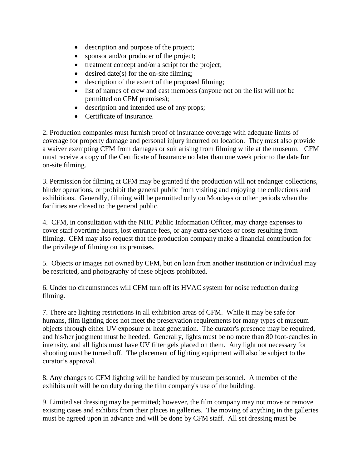- description and purpose of the project;
- sponsor and/or producer of the project;
- treatment concept and/or a script for the project;
- desired date(s) for the on-site filming;
- description of the extent of the proposed filming;
- list of names of crew and cast members (anyone not on the list will not be permitted on CFM premises);
- description and intended use of any props;
- Certificate of Insurance.

2. Production companies must furnish proof of insurance coverage with adequate limits of coverage for property damage and personal injury incurred on location. They must also provide a waiver exempting CFM from damages or suit arising from filming while at the museum. CFM must receive a copy of the Certificate of Insurance no later than one week prior to the date for on-site filming.

3. Permission for filming at CFM may be granted if the production will not endanger collections, hinder operations, or prohibit the general public from visiting and enjoying the collections and exhibitions. Generally, filming will be permitted only on Mondays or other periods when the facilities are closed to the general public.

4. CFM, in consultation with the NHC Public Information Officer, may charge expenses to cover staff overtime hours, lost entrance fees, or any extra services or costs resulting from filming. CFM may also request that the production company make a financial contribution for the privilege of filming on its premises.

5. Objects or images not owned by CFM, but on loan from another institution or individual may be restricted, and photography of these objects prohibited.

6. Under no circumstances will CFM turn off its HVAC system for noise reduction during filming.

7. There are lighting restrictions in all exhibition areas of CFM. While it may be safe for humans, film lighting does not meet the preservation requirements for many types of museum objects through either UV exposure or heat generation. The curator's presence may be required, and his/her judgment must be heeded. Generally, lights must be no more than 80 foot-candles in intensity, and all lights must have UV filter gels placed on them. Any light not necessary for shooting must be turned off. The placement of lighting equipment will also be subject to the curator's approval.

8. Any changes to CFM lighting will be handled by museum personnel. A member of the exhibits unit will be on duty during the film company's use of the building.

9. Limited set dressing may be permitted; however, the film company may not move or remove existing cases and exhibits from their places in galleries. The moving of anything in the galleries must be agreed upon in advance and will be done by CFM staff. All set dressing must be